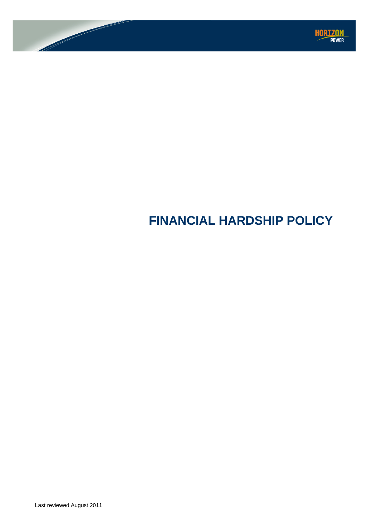

# **FINANCIAL HARDSHIP POLICY**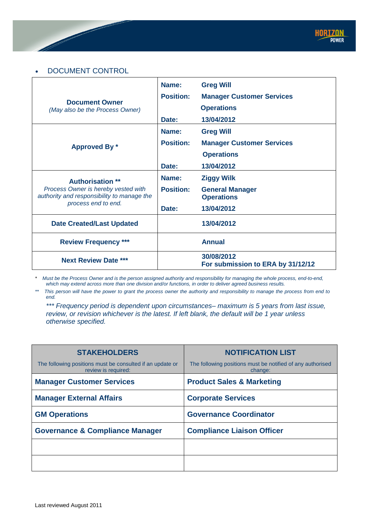# • DOCUMENT CONTROL

|                                                                                                                                     | Name:            | <b>Greg Will</b>                                |
|-------------------------------------------------------------------------------------------------------------------------------------|------------------|-------------------------------------------------|
| <b>Document Owner</b><br>(May also be the Process Owner)                                                                            | <b>Position:</b> | <b>Manager Customer Services</b>                |
|                                                                                                                                     |                  | <b>Operations</b>                               |
|                                                                                                                                     | Date:            | 13/04/2012                                      |
|                                                                                                                                     | Name:            | <b>Greg Will</b>                                |
| Approved By *                                                                                                                       | <b>Position:</b> | <b>Manager Customer Services</b>                |
|                                                                                                                                     |                  | <b>Operations</b>                               |
|                                                                                                                                     | Date:            | 13/04/2012                                      |
| <b>Authorisation **</b><br>Process Owner is hereby vested with<br>authority and responsibility to manage the<br>process end to end. | Name:            | <b>Ziggy Wilk</b>                               |
|                                                                                                                                     | <b>Position:</b> | <b>General Manager</b><br><b>Operations</b>     |
|                                                                                                                                     | Date:            | 13/04/2012                                      |
| <b>Date Created/Last Updated</b>                                                                                                    |                  | 13/04/2012                                      |
| <b>Review Frequency ***</b>                                                                                                         |                  | <b>Annual</b>                                   |
| <b>Next Review Date ***</b>                                                                                                         |                  | 30/08/2012<br>For submission to ERA by 31/12/12 |

*\* Must be the Process Owner and is the person assigned authority and responsibility for managing the whole process, end-to-end, which may extend across more than one division and/or functions, in order to deliver agreed business results.* 

*\*\* This person will have the power to grant the process owner the authority and responsibility to manage the process from end to end.* 

*\*\*\* Frequency period is dependent upon circumstances– maximum is 5 years from last issue, review, or revision whichever is the latest. If left blank, the default will be 1 year unless otherwise specified.*

| <b>STAKEHOLDERS</b>                                                              | <b>NOTIFICATION LIST</b>                                              |
|----------------------------------------------------------------------------------|-----------------------------------------------------------------------|
| The following positions must be consulted if an update or<br>review is required: | The following positions must be notified of any authorised<br>change: |
| <b>Manager Customer Services</b>                                                 | <b>Product Sales &amp; Marketing</b>                                  |
| <b>Manager External Affairs</b>                                                  | <b>Corporate Services</b>                                             |
| <b>GM Operations</b>                                                             | <b>Governance Coordinator</b>                                         |
| <b>Governance &amp; Compliance Manager</b>                                       | <b>Compliance Liaison Officer</b>                                     |
|                                                                                  |                                                                       |
|                                                                                  |                                                                       |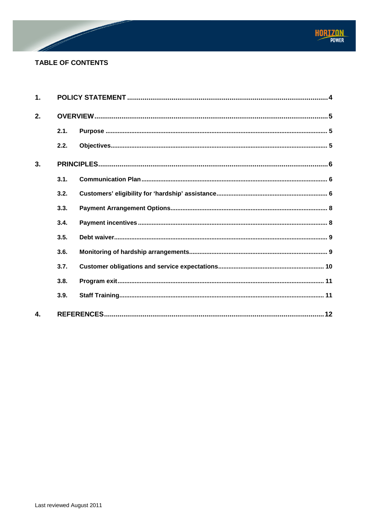

# **TABLE OF CONTENTS**

| 1.               |      |  |  |
|------------------|------|--|--|
| 2.               |      |  |  |
|                  | 2.1. |  |  |
|                  | 2.2. |  |  |
| 3.               |      |  |  |
|                  | 3.1. |  |  |
|                  | 3.2. |  |  |
|                  | 3.3. |  |  |
|                  | 3.4. |  |  |
|                  | 3.5. |  |  |
|                  | 3.6. |  |  |
|                  | 3.7. |  |  |
|                  | 3.8. |  |  |
|                  | 3.9. |  |  |
| $\overline{4}$ . |      |  |  |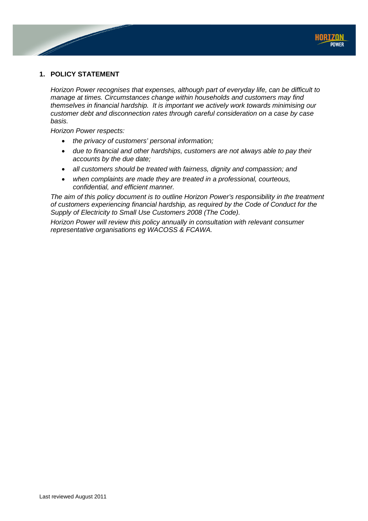# <span id="page-3-0"></span>**1. POLICY STATEMENT**

*Horizon Power recognises that expenses, although part of everyday life, can be difficult to manage at times. Circumstances change within households and customers may find themselves in financial hardship. It is important we actively work towards minimising our customer debt and disconnection rates through careful consideration on a case by case basis.*

*Horizon Power respects:*

- *the privacy of customers' personal information;*
- *due to financial and other hardships, customers are not always able to pay their accounts by the due date;*
- *all customers should be treated with fairness, dignity and compassion; and*
- *when complaints are made they are treated in a professional, courteous, confidential, and efficient manner.*

*The aim of this policy document is to outline Horizon Power's responsibility in the treatment of customers experiencing financial hardship, as required by the Code of Conduct for the Supply of Electricity to Small Use Customers 2008 (The Code).* 

*Horizon Power will review this policy annually in consultation with relevant consumer representative organisations eg WACOSS & FCAWA.*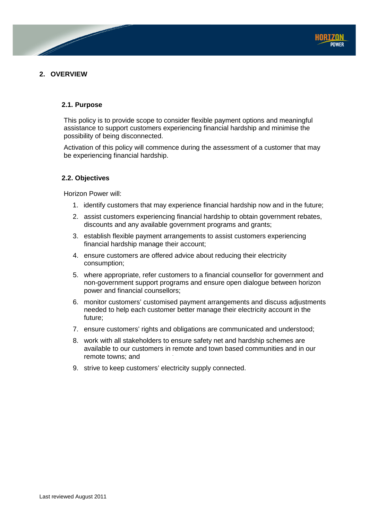

# <span id="page-4-1"></span><span id="page-4-0"></span>**2. OVERVIEW**

## **2.1. Purpose**

This policy is to provide scope to consider flexible payment options and meaningful assistance to support customers experiencing financial hardship and minimise the possibility of being disconnected.

Activation of this policy will commence during the assessment of a customer that may be experiencing financial hardship.

#### <span id="page-4-2"></span>**2.2. Objectives**

Horizon Power will:

- 1. identify customers that may experience financial hardship now and in the future;
- 2. assist customers experiencing financial hardship to obtain government rebates, discounts and any available government programs and grants;
- 3. establish flexible payment arrangements to assist customers experiencing financial hardship manage their account;
- 4. ensure customers are offered advice about reducing their electricity consumption;
- 5. where appropriate, refer customers to a financial counsellor for government and non-government support programs and ensure open dialogue between horizon power and financial counsellors;
- 6. monitor customers' customised payment arrangements and discuss adjustments needed to help each customer better manage their electricity account in the future;
- 7. ensure customers' rights and obligations are communicated and understood;
- 8. work with all stakeholders to ensure safety net and hardship schemes are available to our customers in remote and town based communities and in our remote towns; and
- 9. strive to keep customers' electricity supply connected.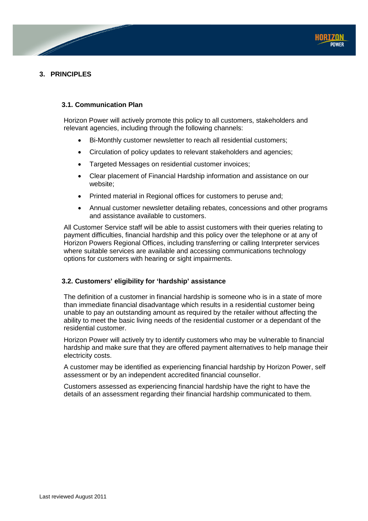

# <span id="page-5-1"></span><span id="page-5-0"></span>**3. PRINCIPLES**

# **3.1. Communication Plan**

Horizon Power will actively promote this policy to all customers, stakeholders and relevant agencies, including through the following channels:

- Bi-Monthly customer newsletter to reach all residential customers;
- Circulation of policy updates to relevant stakeholders and agencies;
- Targeted Messages on residential customer invoices;
- Clear placement of Financial Hardship information and assistance on our website;
- Printed material in Regional offices for customers to peruse and;
- Annual customer newsletter detailing rebates, concessions and other programs and assistance available to customers.

All Customer Service staff will be able to assist customers with their queries relating to payment difficulties, financial hardship and this policy over the telephone or at any of Horizon Powers Regional Offices, including transferring or calling Interpreter services where suitable services are available and accessing communications technology options for customers with hearing or sight impairments.

# <span id="page-5-2"></span>**3.2. Customers' eligibility for 'hardship' assistance**

The definition of a customer in financial hardship is someone who is in a state of more than immediate financial disadvantage which results in a residential customer being unable to pay an outstanding amount as required by the retailer without affecting the ability to meet the basic living needs of the residential customer or a dependant of the residential customer.

Horizon Power will actively try to identify customers who may be vulnerable to financial hardship and make sure that they are offered payment alternatives to help manage their electricity costs.

A customer may be identified as experiencing financial hardship by Horizon Power, self assessment or by an independent accredited financial counsellor.

Customers assessed as experiencing financial hardship have the right to have the details of an assessment regarding their financial hardship communicated to them.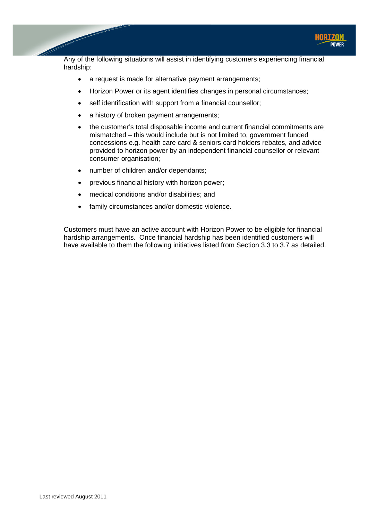

Any of the following situations will assist in identifying customers experiencing financial hardship:

- a request is made for alternative payment arrangements;
- Horizon Power or its agent identifies changes in personal circumstances;
- self identification with support from a financial counsellor;
- a history of broken payment arrangements;
- the customer's total disposable income and current financial commitments are mismatched – this would include but is not limited to, government funded concessions e.g. health care card & seniors card holders rebates, and advice provided to horizon power by an independent financial counsellor or relevant consumer organisation;
- number of children and/or dependants;
- previous financial history with horizon power;
- medical conditions and/or disabilities; and
- family circumstances and/or domestic violence.

Customers must have an active account with Horizon Power to be eligible for financial hardship arrangements. Once financial hardship has been identified customers will have available to them the following initiatives listed from Section 3.3 to 3.7 as detailed.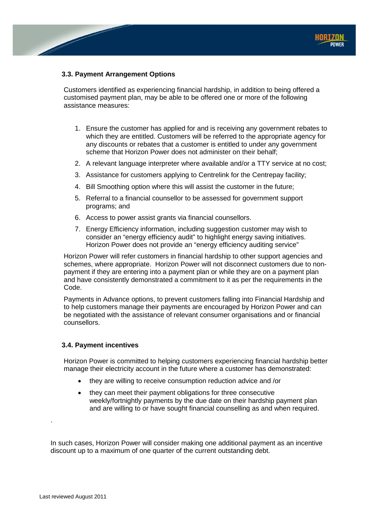# <span id="page-7-0"></span>**3.3. Payment Arrangement Options**

Customers identified as experiencing financial hardship, in addition to being offered a customised payment plan, may be able to be offered one or more of the following assistance measures:

- 1. Ensure the customer has applied for and is receiving any government rebates to which they are entitled. Customers will be referred to the appropriate agency for any discounts or rebates that a customer is entitled to under any government scheme that Horizon Power does not administer on their behalf;
- 2. A relevant language interpreter where available and/or a TTY service at no cost;
- 3. Assistance for customers applying to Centrelink for the Centrepay facility;
- 4. Bill Smoothing option where this will assist the customer in the future;
- 5. Referral to a financial counsellor to be assessed for government support programs; and
- 6. Access to power assist grants via financial counsellors.
- 7. Energy Efficiency information, including suggestion customer may wish to consider an "energy efficiency audit" to highlight energy saving initiatives. Horizon Power does not provide an "energy efficiency auditing service"

Horizon Power will refer customers in financial hardship to other support agencies and schemes, where appropriate. Horizon Power will not disconnect customers due to nonpayment if they are entering into a payment plan or while they are on a payment plan and have consistently demonstrated a commitment to it as per the requirements in the Code.

Payments in Advance options, to prevent customers falling into Financial Hardship and to help customers manage their payments are encouraged by Horizon Power and can be negotiated with the assistance of relevant consumer organisations and or financial counsellors.

#### <span id="page-7-1"></span>**3.4. Payment incentives**

Horizon Power is committed to helping customers experiencing financial hardship better manage their electricity account in the future where a customer has demonstrated:

- they are willing to receive consumption reduction advice and /or
- they can meet their payment obligations for three consecutive weekly/fortnightly payments by the due date on their hardship payment plan and are willing to or have sought financial counselling as and when required.

In such cases, Horizon Power will consider making one additional payment as an incentive discount up to a maximum of one quarter of the current outstanding debt.

.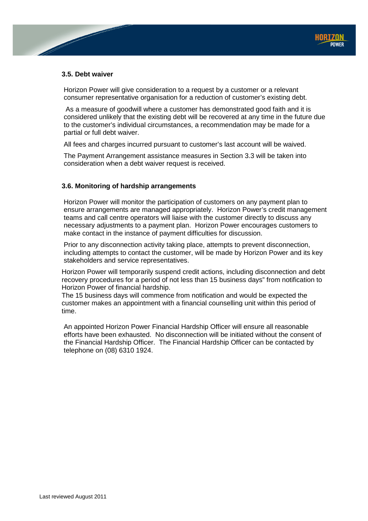## <span id="page-8-0"></span>**3.5. Debt waiver**

Horizon Power will give consideration to a request by a customer or a relevant consumer representative organisation for a reduction of customer's existing debt.

As a measure of goodwill where a customer has demonstrated good faith and it is considered unlikely that the existing debt will be recovered at any time in the future due to the customer's individual circumstances, a recommendation may be made for a partial or full debt waiver.

All fees and charges incurred pursuant to customer's last account will be waived.

The Payment Arrangement assistance measures in Section 3.3 will be taken into consideration when a debt waiver request is received.

## <span id="page-8-1"></span>**3.6. Monitoring of hardship arrangements**

Horizon Power will monitor the participation of customers on any payment plan to ensure arrangements are managed appropriately. Horizon Power's credit management teams and call centre operators will liaise with the customer directly to discuss any necessary adjustments to a payment plan. Horizon Power encourages customers to make contact in the instance of payment difficulties for discussion.

Prior to any disconnection activity taking place, attempts to prevent disconnection, including attempts to contact the customer, will be made by Horizon Power and its key stakeholders and service representatives.

Horizon Power will temporarily suspend credit actions, including disconnection and debt recovery procedures for a period of not less than 15 business days" from notification to Horizon Power of financial hardship.

The 15 business days will commence from notification and would be expected the customer makes an appointment with a financial counselling unit within this period of time.

An appointed Horizon Power Financial Hardship Officer will ensure all reasonable efforts have been exhausted. No disconnection will be initiated without the consent of the Financial Hardship Officer. The Financial Hardship Officer can be contacted by telephone on (08) 6310 1924.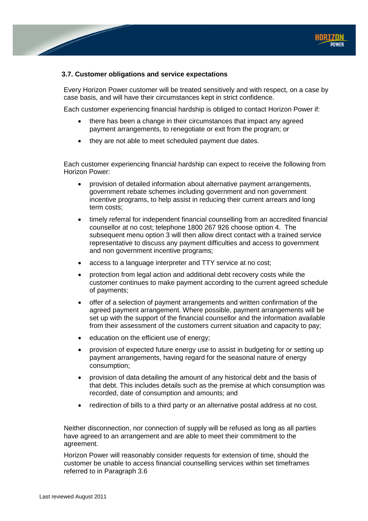

## <span id="page-9-0"></span>**3.7. Customer obligations and service expectations**

Every Horizon Power customer will be treated sensitively and with respect, on a case by case basis, and will have their circumstances kept in strict confidence.

Each customer experiencing financial hardship is obliged to contact Horizon Power if:

- there has been a change in their circumstances that impact any agreed payment arrangements, to renegotiate or exit from the program; or
- they are not able to meet scheduled payment due dates.

Each customer experiencing financial hardship can expect to receive the following from Horizon Power:

- provision of detailed information about alternative payment arrangements, government rebate schemes including government and non government incentive programs, to help assist in reducing their current arrears and long term costs;
- timely referral for independent financial counselling from an accredited financial counsellor at no cost; telephone 1800 267 926 choose option 4. The subsequent menu option 3 will then allow direct contact with a trained service representative to discuss any payment difficulties and access to government and non government incentive programs;
- access to a language interpreter and TTY service at no cost;
- protection from legal action and additional debt recovery costs while the customer continues to make payment according to the current agreed schedule of payments;
- offer of a selection of payment arrangements and written confirmation of the agreed payment arrangement. Where possible, payment arrangements will be set up with the support of the financial counsellor and the information available from their assessment of the customers current situation and capacity to pay;
- education on the efficient use of energy;
- provision of expected future energy use to assist in budgeting for or setting up payment arrangements, having regard for the seasonal nature of energy consumption;
- provision of data detailing the amount of any historical debt and the basis of that debt. This includes details such as the premise at which consumption was recorded, date of consumption and amounts; and
- redirection of bills to a third party or an alternative postal address at no cost.

Neither disconnection, nor connection of supply will be refused as long as all parties have agreed to an arrangement and are able to meet their commitment to the agreement.

Horizon Power will reasonably consider requests for extension of time, should the customer be unable to access financial counselling services within set timeframes referred to in Paragraph 3.6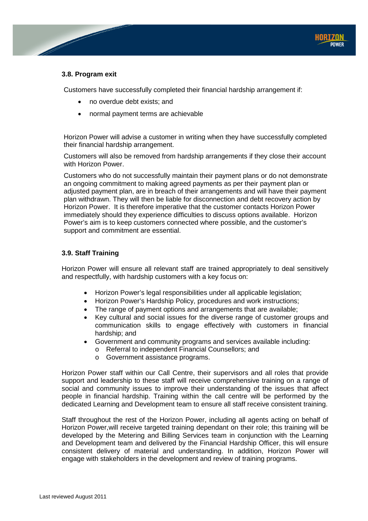## <span id="page-10-0"></span>**3.8. Program exit**

Customers have successfully completed their financial hardship arrangement if:

- no overdue debt exists; and
- normal payment terms are achievable

Horizon Power will advise a customer in writing when they have successfully completed their financial hardship arrangement.

Customers will also be removed from hardship arrangements if they close their account with Horizon Power.

Customers who do not successfully maintain their payment plans or do not demonstrate an ongoing commitment to making agreed payments as per their payment plan or adjusted payment plan, are in breach of their arrangements and will have their payment plan withdrawn. They will then be liable for disconnection and debt recovery action by Horizon Power. It is therefore imperative that the customer contacts Horizon Power immediately should they experience difficulties to discuss options available. Horizon Power's aim is to keep customers connected where possible, and the customer's support and commitment are essential.

## <span id="page-10-1"></span>**3.9. Staff Training**

Horizon Power will ensure all relevant staff are trained appropriately to deal sensitively and respectfully, with hardship customers with a key focus on:

- Horizon Power's legal responsibilities under all applicable legislation;
- Horizon Power's Hardship Policy, procedures and work instructions;
- The range of payment options and arrangements that are available;
- Key cultural and social issues for the diverse range of customer groups and communication skills to engage effectively with customers in financial hardship; and
- Government and community programs and services available including:
	- o Referral to independent Financial Counsellors; and
	- o Government assistance programs.

Horizon Power staff within our Call Centre, their supervisors and all roles that provide support and leadership to these staff will receive comprehensive training on a range of social and community issues to improve their understanding of the issues that affect people in financial hardship. Training within the call centre will be performed by the dedicated Learning and Development team to ensure all staff receive consistent training.

Staff throughout the rest of the Horizon Power, including all agents acting on behalf of Horizon Power,will receive targeted training dependant on their role; this training will be developed by the Metering and Billing Services team in conjunction with the Learning and Development team and delivered by the Financial Hardship Officer, this will ensure consistent delivery of material and understanding. In addition, Horizon Power will engage with stakeholders in the development and review of training programs.